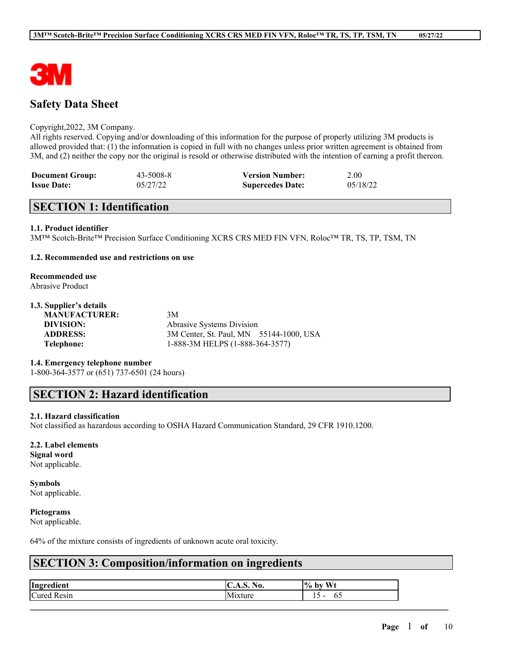

# **Safety Data Sheet**

#### Copyright,2022, 3M Company.

All rights reserved. Copying and/or downloading of this information for the purpose of properly utilizing 3M products is allowed provided that: (1) the information is copied in full with no changes unless prior written agreement is obtained from 3M, and (2) neither the copy nor the original is resold or otherwise distributed with the intention of earning a profit thereon.

| <b>Document Group:</b> | 43-5008-8 | <b>Version Number:</b>  | 2.00     |
|------------------------|-----------|-------------------------|----------|
| <b>Issue Date:</b>     | 05/27/22  | <b>Supercedes Date:</b> | 05/18/22 |

# **SECTION 1: Identification**

#### **1.1. Product identifier**

3M™ Scotch-Brite™ Precision Surface Conditioning XCRS CRS MED FIN VFN, Roloc™ TR, TS, TP, TSM, TN

### **1.2. Recommended use and restrictions on use**

# **Recommended use**

Abrasive Product

# **1.3. Supplier's details**

**MANUFACTURER:** 3M

**DIVISION:** Abrasive Systems Division **ADDRESS:** 3M Center, St. Paul, MN 55144-1000, USA **Telephone:** 1-888-3M HELPS (1-888-364-3577)

#### **1.4. Emergency telephone number**

1-800-364-3577 or (651) 737-6501 (24 hours)

# **SECTION 2: Hazard identification**

#### **2.1. Hazard classification**

Not classified as hazardous according to OSHA Hazard Communication Standard, 29 CFR 1910.1200.

#### **2.2. Label elements**

**Signal word** Not applicable.

# **Symbols**

Not applicable.

### **Pictograms**

Not applicable.

64% of the mixture consists of ingredients of unknown acute oral toxicity.

# **SECTION 3: Composition/information on ingredients**

| Ingredient         | $\mathbf{H}$<br>.S. NO.<br>$\mathbf{C}$ | % by Wt   |
|--------------------|-----------------------------------------|-----------|
| <b>Cured Resin</b> | .<br>1xture<br>ΙM                       | 1 J<br>υ. |
|                    |                                         |           |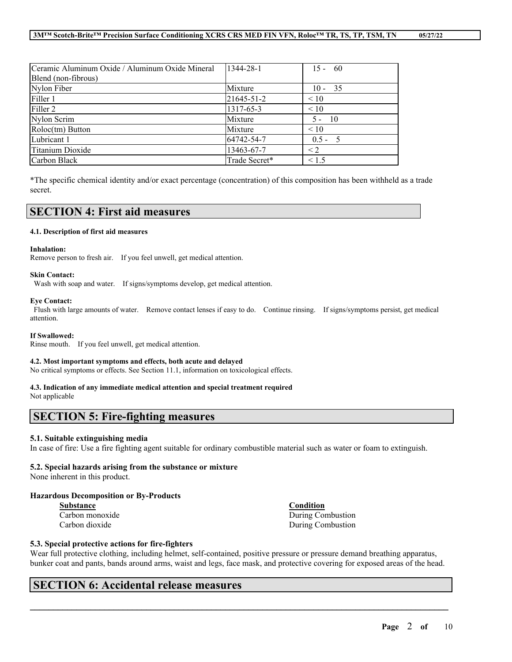| Ceramic Aluminum Oxide / Aluminum Oxide Mineral | 1344-28-1     | $15 - 60$ |
|-------------------------------------------------|---------------|-----------|
| Blend (non-fibrous)                             |               |           |
| Nylon Fiber                                     | Mixture       | $10 - 35$ |
| Filler 1                                        | 21645-51-2    | $\leq 10$ |
| Filler 2                                        | 1317-65-3     | $\leq 10$ |
| Nylon Scrim                                     | Mixture       | $5 - 10$  |
| Roloc(tm) Button                                | Mixture       | $\leq 10$ |
| Lubricant 1                                     | 64742-54-7    | $0.5 - 5$ |
| Titanium Dioxide                                | 13463-67-7    | $\leq$ 2  |
| Carbon Black                                    | Trade Secret* | < 1.5     |

\*The specific chemical identity and/or exact percentage (concentration) of this composition has been withheld as a trade secret.

# **SECTION 4: First aid measures**

#### **4.1. Description of first aid measures**

#### **Inhalation:**

Remove person to fresh air. If you feel unwell, get medical attention.

#### **Skin Contact:**

Wash with soap and water. If signs/symptoms develop, get medical attention.

#### **Eye Contact:**

Flush with large amounts of water. Remove contact lenses if easy to do. Continue rinsing. If signs/symptoms persist, get medical attention.

#### **If Swallowed:**

Rinse mouth. If you feel unwell, get medical attention.

#### **4.2. Most important symptoms and effects, both acute and delayed**

No critical symptoms or effects. See Section 11.1, information on toxicological effects.

#### **4.3. Indication of any immediate medical attention and special treatment required**

Not applicable

# **SECTION 5: Fire-fighting measures**

#### **5.1. Suitable extinguishing media**

In case of fire: Use a fire fighting agent suitable for ordinary combustible material such as water or foam to extinguish.

### **5.2. Special hazards arising from the substance or mixture**

None inherent in this product.

### **Hazardous Decomposition or By-Products**

**Substance Condition**

Carbon monoxide During Combustion Carbon dioxide During Combustion

#### **5.3. Special protective actions for fire-fighters**

Wear full protective clothing, including helmet, self-contained, positive pressure or pressure demand breathing apparatus, bunker coat and pants, bands around arms, waist and legs, face mask, and protective covering for exposed areas of the head.

 $\mathcal{L}_\mathcal{L} = \mathcal{L}_\mathcal{L} = \mathcal{L}_\mathcal{L} = \mathcal{L}_\mathcal{L} = \mathcal{L}_\mathcal{L} = \mathcal{L}_\mathcal{L} = \mathcal{L}_\mathcal{L} = \mathcal{L}_\mathcal{L} = \mathcal{L}_\mathcal{L} = \mathcal{L}_\mathcal{L} = \mathcal{L}_\mathcal{L} = \mathcal{L}_\mathcal{L} = \mathcal{L}_\mathcal{L} = \mathcal{L}_\mathcal{L} = \mathcal{L}_\mathcal{L} = \mathcal{L}_\mathcal{L} = \mathcal{L}_\mathcal{L}$ 

# **SECTION 6: Accidental release measures**

**Page** 2 **of** 10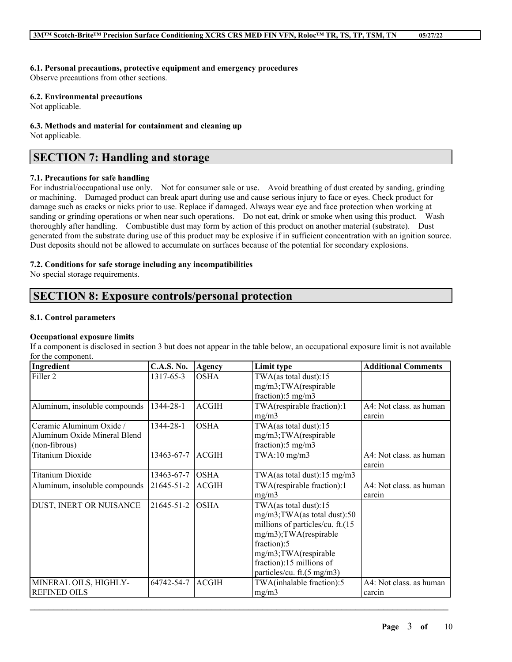### **6.1. Personal precautions, protective equipment and emergency procedures**

Observe precautions from other sections.

### **6.2. Environmental precautions**

Not applicable.

#### **6.3. Methods and material for containment and cleaning up** Not applicable.

# **SECTION 7: Handling and storage**

### **7.1. Precautions for safe handling**

For industrial/occupational use only. Not for consumer sale or use. Avoid breathing of dust created by sanding, grinding or machining. Damaged product can break apart during use and cause serious injury to face or eyes. Check product for damage such as cracks or nicks prior to use. Replace if damaged. Always wear eye and face protection when working at sanding or grinding operations or when near such operations. Do not eat, drink or smoke when using this product. Wash thoroughly after handling. Combustible dust may form by action of this product on another material (substrate). Dust generated from the substrate during use of this product may be explosive if in sufficient concentration with an ignition source. Dust deposits should not be allowed to accumulate on surfaces because of the potential for secondary explosions.

## **7.2. Conditions for safe storage including any incompatibilities**

No special storage requirements.

# **SECTION 8: Exposure controls/personal protection**

### **8.1. Control parameters**

## **Occupational exposure limits**

If a component is disclosed in section 3 but does not appear in the table below, an occupational exposure limit is not available for the component.

| Ingredient                    | <b>C.A.S. No.</b> | Agency       | Limit type                       | <b>Additional Comments</b> |
|-------------------------------|-------------------|--------------|----------------------------------|----------------------------|
| Filler <sub>2</sub>           | 1317-65-3         | <b>OSHA</b>  | TWA(as total dust):15            |                            |
|                               |                   |              | mg/m3;TWA(respirable             |                            |
|                               |                   |              | fraction): $5 \text{ mg/m}$ 3    |                            |
| Aluminum, insoluble compounds | 1344-28-1         | <b>ACGIH</b> | TWA(respirable fraction):1       | A4: Not class. as human    |
|                               |                   |              | mg/m3                            | carcin                     |
| Ceramic Aluminum Oxide /      | 1344-28-1         | <b>OSHA</b>  | TWA(as total dust):15            |                            |
| Aluminum Oxide Mineral Blend  |                   |              | mg/m3;TWA(respirable             |                            |
| (non-fibrous)                 |                   |              | fraction): $5 \text{ mg/m}$ 3    |                            |
| <b>Titanium Dioxide</b>       | 13463-67-7        | <b>ACGIH</b> | $TWA:10$ mg/m $3$                | A4: Not class. as human    |
|                               |                   |              |                                  | carcin                     |
| <b>Titanium Dioxide</b>       | 13463-67-7        | <b>OSHA</b>  | TWA(as total dust):15 mg/m3      |                            |
| Aluminum, insoluble compounds | $21645 - 51 - 2$  | <b>ACGIH</b> | TWA(respirable fraction):1       | A4: Not class. as human    |
|                               |                   |              | mg/m3                            | carcin                     |
| DUST, INERT OR NUISANCE       | 21645-51-2        | <b>OSHA</b>  | TWA(as total dust):15            |                            |
|                               |                   |              | mg/m3;TWA(as total dust):50      |                            |
|                               |                   |              | millions of particles/cu. ft.(15 |                            |
|                               |                   |              | mg/m3);TWA(respirable            |                            |
|                               |                   |              | fraction):5                      |                            |
|                               |                   |              | mg/m3;TWA(respirable             |                            |
|                               |                   |              | fraction):15 millions of         |                            |
|                               |                   |              | particles/cu. ft.(5 mg/m3)       |                            |
| MINERAL OILS, HIGHLY-         | 64742-54-7        | <b>ACGIH</b> | TWA(inhalable fraction):5        | A4: Not class. as human    |
| <b>REFINED OILS</b>           |                   |              | mg/m3                            | carcin                     |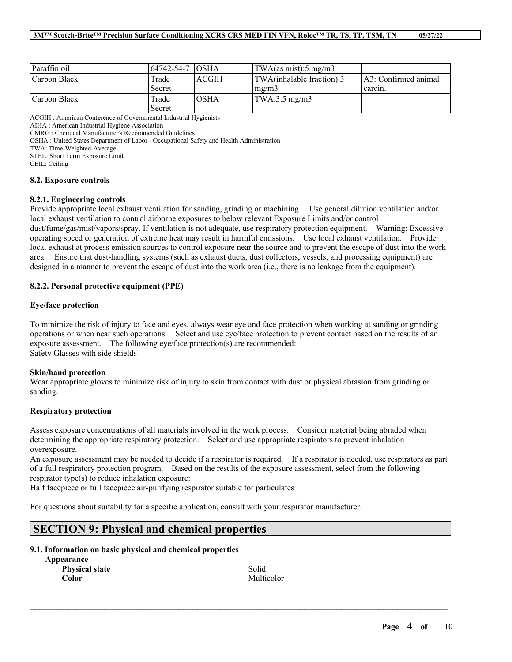| Paraffin oil | 164742-54-7 IOSHA |              | $\text{TWA}\left(\text{as mist}\right):5 \text{ mg}/\text{m}3$ |                                 |
|--------------|-------------------|--------------|----------------------------------------------------------------|---------------------------------|
| Carbon Black | Trade<br>Secret   | <b>ACGIH</b> | TWA(inhalable fraction):3<br>$\text{Im} \Omega / \text{m}$     | A3: Confirmed animal<br>carcin. |
| Carbon Black | Trade<br>Secret   | <b>OSHA</b>  | $\text{TWA}:3.5 \text{ mg/m3}$                                 |                                 |

ACGIH : American Conference of Governmental Industrial Hygienists

AIHA : American Industrial Hygiene Association

CMRG : Chemical Manufacturer's Recommended Guidelines

OSHA : United States Department of Labor - Occupational Safety and Health Administration

TWA: Time-Weighted-Average

STEL: Short Term Exposure Limit

CEIL: Ceiling

#### **8.2. Exposure controls**

#### **8.2.1. Engineering controls**

Provide appropriate local exhaust ventilation for sanding, grinding or machining. Use general dilution ventilation and/or local exhaust ventilation to control airborne exposures to below relevant Exposure Limits and/or control dust/fume/gas/mist/vapors/spray. If ventilation is not adequate, use respiratory protection equipment. Warning: Excessive operating speed or generation of extreme heat may result in harmful emissions. Use local exhaust ventilation. Provide local exhaust at process emission sources to control exposure near the source and to prevent the escape of dust into the work area. Ensure that dust-handling systems (such as exhaust ducts, dust collectors, vessels, and processing equipment) are designed in a manner to prevent the escape of dust into the work area (i.e., there is no leakage from the equipment).

#### **8.2.2. Personal protective equipment (PPE)**

#### **Eye/face protection**

To minimize the risk of injury to face and eyes, always wear eye and face protection when working at sanding or grinding operations or when near such operations. Select and use eye/face protection to prevent contact based on the results of an exposure assessment. The following eye/face protection(s) are recommended: Safety Glasses with side shields

#### **Skin/hand protection**

Wear appropriate gloves to minimize risk of injury to skin from contact with dust or physical abrasion from grinding or sanding.

#### **Respiratory protection**

Assess exposure concentrations of all materials involved in the work process. Consider material being abraded when determining the appropriate respiratory protection. Select and use appropriate respirators to prevent inhalation overexposure.

An exposure assessment may be needed to decide if a respirator is required. If a respirator is needed, use respirators as part of a full respiratory protection program. Based on the results of the exposure assessment, select from the following respirator type(s) to reduce inhalation exposure:

 $\mathcal{L}_\mathcal{L} = \mathcal{L}_\mathcal{L} = \mathcal{L}_\mathcal{L} = \mathcal{L}_\mathcal{L} = \mathcal{L}_\mathcal{L} = \mathcal{L}_\mathcal{L} = \mathcal{L}_\mathcal{L} = \mathcal{L}_\mathcal{L} = \mathcal{L}_\mathcal{L} = \mathcal{L}_\mathcal{L} = \mathcal{L}_\mathcal{L} = \mathcal{L}_\mathcal{L} = \mathcal{L}_\mathcal{L} = \mathcal{L}_\mathcal{L} = \mathcal{L}_\mathcal{L} = \mathcal{L}_\mathcal{L} = \mathcal{L}_\mathcal{L}$ 

Half facepiece or full facepiece air-purifying respirator suitable for particulates

For questions about suitability for a specific application, consult with your respirator manufacturer.

# **SECTION 9: Physical and chemical properties**

#### **9.1. Information on basic physical and chemical properties**

| Appearance            |            |
|-----------------------|------------|
| <b>Physical state</b> | Solid      |
| Color                 | Multicolor |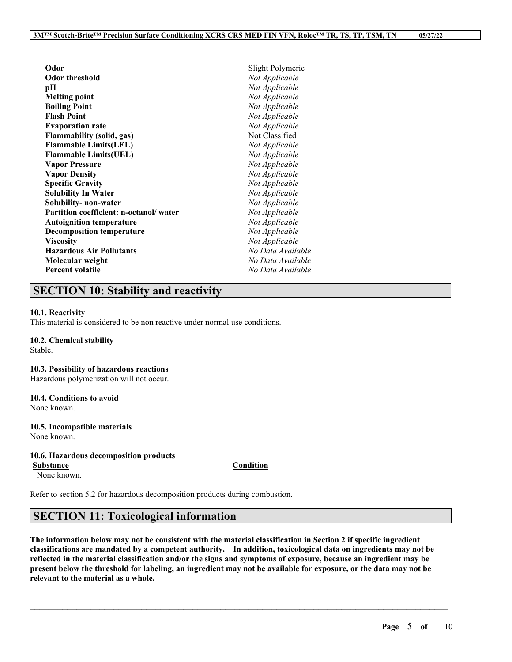| Odor                                   | Slight Polymeric  |
|----------------------------------------|-------------------|
| Odor threshold                         | Not Applicable    |
| pН                                     | Not Applicable    |
| Melting point                          | Not Applicable    |
| <b>Boiling Point</b>                   | Not Applicable    |
| <b>Flash Point</b>                     | Not Applicable    |
| <b>Evaporation rate</b>                | Not Applicable    |
| <b>Flammability (solid, gas)</b>       | Not Classified    |
| <b>Flammable Limits(LEL)</b>           | Not Applicable    |
| <b>Flammable Limits(UEL)</b>           | Not Applicable    |
| <b>Vapor Pressure</b>                  | Not Applicable    |
| <b>Vapor Density</b>                   | Not Applicable    |
| <b>Specific Gravity</b>                | Not Applicable    |
| <b>Solubility In Water</b>             | Not Applicable    |
| Solubility- non-water                  | Not Applicable    |
| Partition coefficient: n-octanol/water | Not Applicable    |
| <b>Autoignition temperature</b>        | Not Applicable    |
| <b>Decomposition temperature</b>       | Not Applicable    |
| Viscosity                              | Not Applicable    |
| <b>Hazardous Air Pollutants</b>        | No Data Available |
| Molecular weight                       | No Data Available |
| <b>Percent volatile</b>                | No Data Available |
|                                        |                   |

# **SECTION 10: Stability and reactivity**

#### **10.1. Reactivity**

This material is considered to be non reactive under normal use conditions.

### **10.2. Chemical stability**

Stable.

#### **10.3. Possibility of hazardous reactions**

Hazardous polymerization will not occur.

#### **10.4. Conditions to avoid** None known.

**10.5. Incompatible materials** None known.

### **10.6. Hazardous decomposition products**

**Substance Condition**

None known.

Refer to section 5.2 for hazardous decomposition products during combustion.

# **SECTION 11: Toxicological information**

The information below may not be consistent with the material classification in Section 2 if specific ingredient **classifications are mandated by a competent authority. In addition, toxicological data on ingredients may not be** reflected in the material classification and/or the signs and symptoms of exposure, because an ingredient may be present below the threshold for labeling, an ingredient may not be available for exposure, or the data may not be **relevant to the material as a whole.**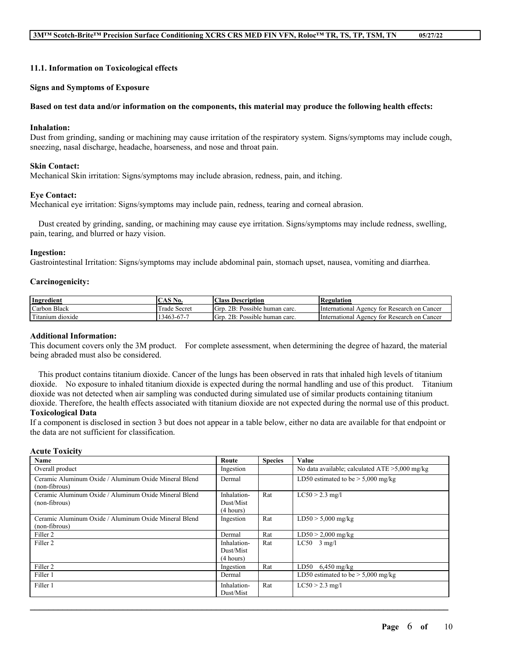#### **11.1. Information on Toxicological effects**

#### **Signs and Symptoms of Exposure**

### Based on test data and/or information on the components, this material may produce the following health effects:

#### **Inhalation:**

Dust from grinding, sanding or machining may cause irritation of the respiratory system. Signs/symptoms may include cough, sneezing, nasal discharge, headache, hoarseness, and nose and throat pain.

### **Skin Contact:**

Mechanical Skin irritation: Signs/symptoms may include abrasion, redness, pain, and itching.

#### **Eye Contact:**

Mechanical eye irritation: Signs/symptoms may include pain, redness, tearing and corneal abrasion.

Dust created by grinding, sanding, or machining may cause eye irritation. Signs/symptoms may include redness, swelling, pain, tearing, and blurred or hazy vision.

#### **Ingestion:**

Gastrointestinal Irritation: Signs/symptoms may include abdominal pain, stomach upset, nausea, vomiting and diarrhea.

#### **Carcinogenicity:**

| Ingredient                     | <b>CAS N</b><br>No. | Class<br>Description                   | Regulation                                              |
|--------------------------------|---------------------|----------------------------------------|---------------------------------------------------------|
| Black<br>Carbon                | Secret<br>1 rade    | 2B:<br>Possible<br>Grd.<br>human carc. | : Research on Cancer<br>International<br>Agency<br>tor  |
| cran "<br>dioxide<br>! itanium | -5-67-7.<br>13463   | 2B:<br>Possible<br>GTD<br>human carc.  | Cancer<br>International<br>Research on<br>Agency<br>tor |

### **Additional Information:**

This document covers only the 3M product. For complete assessment, when determining the degree of hazard, the material being abraded must also be considered.

This product contains titanium dioxide. Cancer of the lungs has been observed in rats that inhaled high levels of titanium dioxide. No exposure to inhaled titanium dioxide is expected during the normal handling and use of this product. Titanium dioxide was not detected when air sampling was conducted during simulated use of similar products containing titanium dioxide. Therefore, the health effects associated with titanium dioxide are not expected during the normal use of this product. **Toxicological Data**

If a component is disclosed in section 3 but does not appear in a table below, either no data are available for that endpoint or the data are not sufficient for classification.

#### **Acute Toxicity**

| Name                                                                   | Route                                 | <b>Species</b> | Value                                             |
|------------------------------------------------------------------------|---------------------------------------|----------------|---------------------------------------------------|
| Overall product                                                        | Ingestion                             |                | No data available; calculated $ATE > 5,000$ mg/kg |
| Ceramic Aluminum Oxide / Aluminum Oxide Mineral Blend<br>(non-fibrous) | Dermal                                |                | LD50 estimated to be $>$ 5,000 mg/kg              |
| Ceramic Aluminum Oxide / Aluminum Oxide Mineral Blend<br>(non-fibrous) | Inhalation-<br>Dust/Mist<br>(4 hours) | Rat            | $LC50 > 2.3$ mg/l                                 |
| Ceramic Aluminum Oxide / Aluminum Oxide Mineral Blend<br>(non-fibrous) | Ingestion                             | Rat            | $LD50 > 5,000$ mg/kg                              |
| Filler <sub>2</sub>                                                    | Dermal                                | Rat            | $LD50 > 2,000$ mg/kg                              |
| Filler <sub>2</sub>                                                    | Inhalation-<br>Dust/Mist<br>(4 hours) | Rat            | $LC50$ 3 mg/l                                     |
| Filler <sub>2</sub>                                                    | Ingestion                             | Rat            | LD50<br>$6,450$ mg/kg                             |
| Filler 1                                                               | Dermal                                |                | LD50 estimated to be $> 5,000$ mg/kg              |
| Filler 1                                                               | Inhalation-<br>Dust/Mist              | Rat            | $LC50 > 2.3$ mg/l                                 |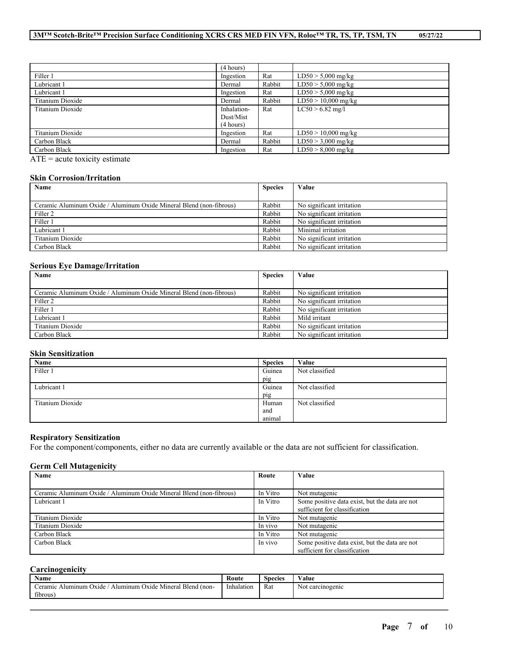|                  | (4 hours)   |        |                       |
|------------------|-------------|--------|-----------------------|
| Filler 1         | Ingestion   | Rat    | $LD50 > 5,000$ mg/kg  |
| Lubricant 1      | Dermal      | Rabbit | $LD50 > 5,000$ mg/kg  |
| Lubricant 1      | Ingestion   | Rat    | $LD50 > 5,000$ mg/kg  |
| Titanium Dioxide | Dermal      | Rabbit | $LD50 > 10,000$ mg/kg |
| Titanium Dioxide | Inhalation- | Rat    | $LC50 > 6.82$ mg/l    |
|                  | Dust/Mist   |        |                       |
|                  | (4 hours)   |        |                       |
| Titanium Dioxide | Ingestion   | Rat    | $LD50 > 10,000$ mg/kg |
| Carbon Black     | Dermal      | Rabbit | $LD50 > 3,000$ mg/kg  |
| Carbon Black     | Ingestion   | Rat    | $LD50 > 8,000$ mg/kg  |

ATE = acute toxicity estimate

### **Skin Corrosion/Irritation**

| Name                                                                | <b>Species</b> | Value                     |
|---------------------------------------------------------------------|----------------|---------------------------|
|                                                                     |                |                           |
| Ceramic Aluminum Oxide / Aluminum Oxide Mineral Blend (non-fibrous) | Rabbit         | No significant irritation |
| Filler <sub>2</sub>                                                 | Rabbit         | No significant irritation |
| Filler 1                                                            | Rabbit         | No significant irritation |
| Lubricant 1                                                         | Rabbit         | Minimal irritation        |
| Titanium Dioxide                                                    | Rabbit         | No significant irritation |
| Carbon Black                                                        | Rabbit         | No significant irritation |

#### **Serious Eye Damage/Irritation**

| Name                                                                | <b>Species</b> | Value                     |
|---------------------------------------------------------------------|----------------|---------------------------|
|                                                                     |                |                           |
| Ceramic Aluminum Oxide / Aluminum Oxide Mineral Blend (non-fibrous) | Rabbit         | No significant irritation |
| Filler 2                                                            | Rabbit         | No significant irritation |
| Filler 1                                                            | Rabbit         | No significant irritation |
| Lubricant 1                                                         | Rabbit         | Mild irritant             |
| Titanium Dioxide                                                    | Rabbit         | No significant irritation |
| Carbon Black                                                        | Rabbit         | No significant irritation |

### **Skin Sensitization**

| Name             | <b>Species</b> | Value          |
|------------------|----------------|----------------|
| Filler 1         | Guinea         | Not classified |
|                  | pig            |                |
| Lubricant 1      | Guinea         | Not classified |
|                  | pig            |                |
| Titanium Dioxide | Human          | Not classified |
|                  | and            |                |
|                  | animal         |                |

### **Respiratory Sensitization**

For the component/components, either no data are currently available or the data are not sufficient for classification.

### **Germ Cell Mutagenicity**

| Name                                                                | Route    | Value                                          |
|---------------------------------------------------------------------|----------|------------------------------------------------|
|                                                                     |          |                                                |
| Ceramic Aluminum Oxide / Aluminum Oxide Mineral Blend (non-fibrous) | In Vitro | Not mutagenic                                  |
| Lubricant 1                                                         | In Vitro | Some positive data exist, but the data are not |
|                                                                     |          | sufficient for classification                  |
| Titanium Dioxide                                                    | In Vitro | Not mutagenic                                  |
| Titanium Dioxide                                                    | In vivo  | Not mutagenic                                  |
| Carbon Black                                                        | In Vitro | Not mutagenic                                  |
| Carbon Black                                                        | In vivo  | Some positive data exist, but the data are not |
|                                                                     |          | sufficient for classification                  |

# **Carcinogenicity**

| Name                                                                                      | Route                         | Species | $\cdots$<br>Value                                     |
|-------------------------------------------------------------------------------------------|-------------------------------|---------|-------------------------------------------------------|
| <b>Blend</b><br>.<br>Mineral<br>(non-<br>Aluminum<br>eramic<br>Alumınum<br>)xide<br>Oxide | $\mathbf{v}$ at<br>Inhalation | Rat     | Not carcinogenic<br>and the state of the state of the |
| fibrous                                                                                   |                               |         |                                                       |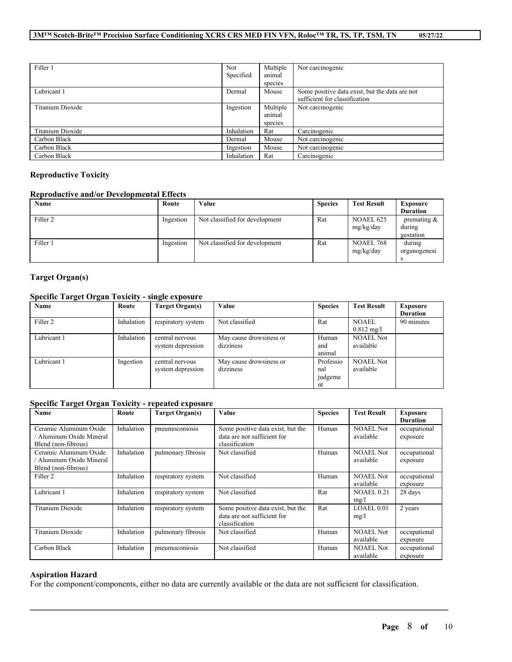| Filler 1         | Not.       | Multiple<br>animal            | Not carcinogenic                                                                |
|------------------|------------|-------------------------------|---------------------------------------------------------------------------------|
|                  | Specified  | species                       |                                                                                 |
| Lubricant 1      | Dermal     | Mouse                         | Some positive data exist, but the data are not<br>sufficient for classification |
| Titanium Dioxide | Ingestion  | Multiple<br>animal<br>species | Not carcinogenic                                                                |
| Titanium Dioxide | Inhalation | Rat                           | Carcinogenic                                                                    |
| Carbon Black     | Dermal     | Mouse                         | Not carcinogenic                                                                |
| Carbon Black     | Ingestion  | Mouse                         | Not carcinogenic                                                                |
| Carbon Black     | Inhalation | Rat                           | Carcinogenic                                                                    |

# **Reproductive Toxicity**

# **Reproductive and/or Developmental Effects**

| Name                | Route     | Value                          | <b>Species</b> | <b>Test Result</b>            | <b>Exposure</b>                       |
|---------------------|-----------|--------------------------------|----------------|-------------------------------|---------------------------------------|
|                     |           |                                |                |                               | <b>Duration</b>                       |
| Filler <sub>2</sub> | Ingestion | Not classified for development | Rat            | <b>NOAEL 625</b><br>mg/kg/day | premating $\&$<br>during<br>gestation |
| Filler 1            | Ingestion | Not classified for development | Rat            | <b>NOAEL 768</b><br>mg/kg/day | during<br>organogenesi                |

# **Target Organ(s)**

# **Specific Target Organ Toxicity - single exposure**

| Name        | Route      | Target Organ(s)    | Value                   | <b>Species</b> | <b>Test Result</b>   | Exposure        |
|-------------|------------|--------------------|-------------------------|----------------|----------------------|-----------------|
|             |            |                    |                         |                |                      | <b>Duration</b> |
| Filler 2    | Inhalation | respiratory system | Not classified          | Rat            | <b>NOAEL</b>         | 90 minutes      |
|             |            |                    |                         |                | $0.812 \text{ mg/l}$ |                 |
| Lubricant 1 | Inhalation | central nervous    | May cause drowsiness or | Human          | <b>NOAEL Not</b>     |                 |
|             |            | system depression  | dizziness               | and            | available            |                 |
|             |            |                    |                         | animal         |                      |                 |
| Lubricant 1 | Ingestion  | central nervous    | May cause drowsiness or | Professio      | <b>NOAEL Not</b>     |                 |
|             |            | system depression  | dizziness               | nal            | available            |                 |
|             |            |                    |                         | judgeme        |                      |                 |
|             |            |                    |                         | nt             |                      |                 |

### **Specific Target Organ Toxicity - repeated exposure**

| Name                                                                    | Route      | <b>Target Organ(s)</b> | Value                                                                              | <b>Species</b> | <b>Test Result</b>            | <b>Exposure</b>          |
|-------------------------------------------------------------------------|------------|------------------------|------------------------------------------------------------------------------------|----------------|-------------------------------|--------------------------|
|                                                                         |            |                        |                                                                                    |                |                               | <b>Duration</b>          |
| Ceramic Aluminum Oxide<br>Aluminum Oxide Mineral<br>Blend (non-fibrous) | Inhalation | pneumoconiosis         | Some positive data exist, but the<br>data are not sufficient for<br>classification | Human          | <b>NOAEL Not</b><br>available | occupational<br>exposure |
| Ceramic Aluminum Oxide<br>Aluminum Oxide Mineral<br>Blend (non-fibrous) | Inhalation | pulmonary fibrosis     | Not classified                                                                     | Human          | <b>NOAEL Not</b><br>available | occupational<br>exposure |
| Filler <sub>2</sub>                                                     | Inhalation | respiratory system     | Not classified                                                                     | Human          | <b>NOAEL Not</b><br>available | occupational<br>exposure |
| Lubricant 1                                                             | Inhalation | respiratory system     | Not classified                                                                     | Rat            | <b>NOAEL 0.21</b><br>mg/l     | 28 days                  |
| Titanium Dioxide                                                        | Inhalation | respiratory system     | Some positive data exist, but the<br>data are not sufficient for<br>classification | Rat            | LOAEL 0.01<br>mg/l            | 2 years                  |
| Titanium Dioxide                                                        | Inhalation | pulmonary fibrosis     | Not classified                                                                     | Human          | <b>NOAEL Not</b><br>available | occupational<br>exposure |
| Carbon Black                                                            | Inhalation | pneumoconiosis         | Not classified                                                                     | Human          | <b>NOAEL Not</b><br>available | occupational<br>exposure |

# **Aspiration Hazard**

For the component/components, either no data are currently available or the data are not sufficient for classification.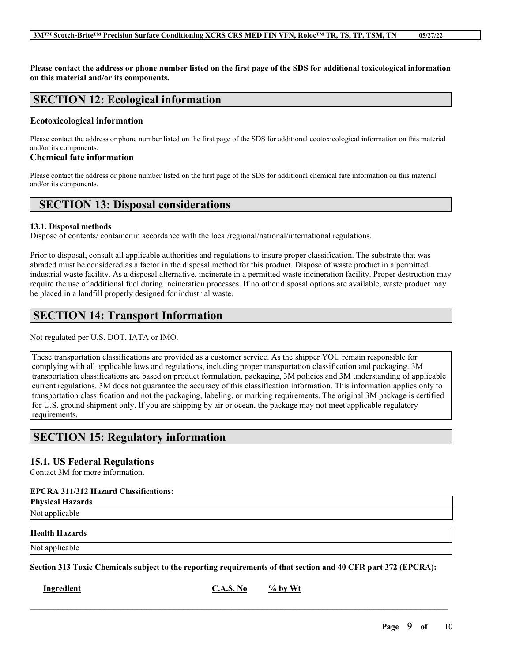Please contact the address or phone number listed on the first page of the SDS for additional toxicological information **on this material and/or its components.**

# **SECTION 12: Ecological information**

#### **Ecotoxicological information**

Please contact the address or phone number listed on the first page of the SDS for additional ecotoxicological information on this material and/or its components.

### **Chemical fate information**

Please contact the address or phone number listed on the first page of the SDS for additional chemical fate information on this material and/or its components.

# **SECTION 13: Disposal considerations**

### **13.1. Disposal methods**

Dispose of contents/ container in accordance with the local/regional/national/international regulations.

Prior to disposal, consult all applicable authorities and regulations to insure proper classification. The substrate that was abraded must be considered as a factor in the disposal method for this product. Dispose of waste product in a permitted industrial waste facility. As a disposal alternative, incinerate in a permitted waste incineration facility. Proper destruction may require the use of additional fuel during incineration processes. If no other disposal options are available, waste product may be placed in a landfill properly designed for industrial waste.

# **SECTION 14: Transport Information**

Not regulated per U.S. DOT, IATA or IMO.

These transportation classifications are provided as a customer service. As the shipper YOU remain responsible for complying with all applicable laws and regulations, including proper transportation classification and packaging. 3M transportation classifications are based on product formulation, packaging, 3M policies and 3M understanding of applicable current regulations. 3M does not guarantee the accuracy of this classification information. This information applies only to transportation classification and not the packaging, labeling, or marking requirements. The original 3M package is certified for U.S. ground shipment only. If you are shipping by air or ocean, the package may not meet applicable regulatory requirements.

# **SECTION 15: Regulatory information**

# **15.1. US Federal Regulations**

Contact 3M for more information.

### **EPCRA 311/312 Hazard Classifications:**

**Physical Hazards** Not applicable

## **Health Hazards**

Not applicable

Section 313 Toxic Chemicals subject to the reporting requirements of that section and 40 CFR part 372 (EPCRA):

 $\mathcal{L}_\mathcal{L} = \mathcal{L}_\mathcal{L} = \mathcal{L}_\mathcal{L} = \mathcal{L}_\mathcal{L} = \mathcal{L}_\mathcal{L} = \mathcal{L}_\mathcal{L} = \mathcal{L}_\mathcal{L} = \mathcal{L}_\mathcal{L} = \mathcal{L}_\mathcal{L} = \mathcal{L}_\mathcal{L} = \mathcal{L}_\mathcal{L} = \mathcal{L}_\mathcal{L} = \mathcal{L}_\mathcal{L} = \mathcal{L}_\mathcal{L} = \mathcal{L}_\mathcal{L} = \mathcal{L}_\mathcal{L} = \mathcal{L}_\mathcal{L}$ 

**Ingredient C.A.S. No**  $\frac{9}{6}$  **by Wt**